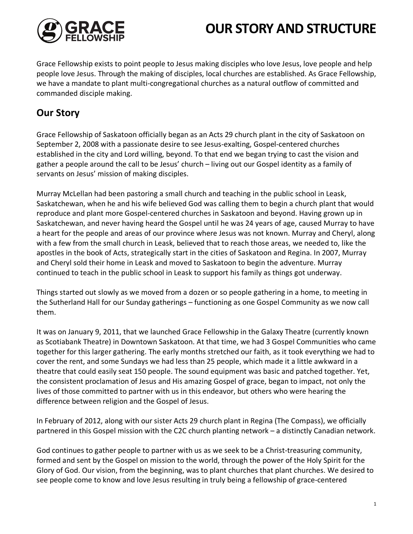

# **OUR STORY AND STRUCTURE**

Grace Fellowship exists to point people to Jesus making disciples who love Jesus, love people and help people love Jesus. Through the making of disciples, local churches are established. As Grace Fellowship, we have a mandate to plant multi-congregational churches as a natural outflow of committed and commanded disciple making.

# **Our Story**

Grace Fellowship of Saskatoon officially began as an Acts 29 church plant in the city of Saskatoon on September 2, 2008 with a passionate desire to see Jesus-exalting, Gospel-centered churches established in the city and Lord willing, beyond. To that end we began trying to cast the vision and gather a people around the call to be Jesus' church – living out our Gospel identity as a family of servants on Jesus' mission of making disciples.

Murray McLellan had been pastoring a small church and teaching in the public school in Leask, Saskatchewan, when he and his wife believed God was calling them to begin a church plant that would reproduce and plant more Gospel-centered churches in Saskatoon and beyond. Having grown up in Saskatchewan, and never having heard the Gospel until he was 24 years of age, caused Murray to have a heart for the people and areas of our province where Jesus was not known. Murray and Cheryl, along with a few from the small church in Leask, believed that to reach those areas, we needed to, like the apostles in the book of Acts, strategically start in the cities of Saskatoon and Regina. In 2007, Murray and Cheryl sold their home in Leask and moved to Saskatoon to begin the adventure. Murray continued to teach in the public school in Leask to support his family as things got underway.

Things started out slowly as we moved from a dozen or so people gathering in a home, to meeting in the Sutherland Hall for our Sunday gatherings – functioning as one Gospel Community as we now call them.

It was on January 9, 2011, that we launched Grace Fellowship in the Galaxy Theatre (currently known as Scotiabank Theatre) in Downtown Saskatoon. At that time, we had 3 Gospel Communities who came together for this larger gathering. The early months stretched our faith, as it took everything we had to cover the rent, and some Sundays we had less than 25 people, which made it a little awkward in a theatre that could easily seat 150 people. The sound equipment was basic and patched together. Yet, the consistent proclamation of Jesus and His amazing Gospel of grace, began to impact, not only the lives of those committed to partner with us in this endeavor, but others who were hearing the difference between religion and the Gospel of Jesus.

In February of 2012, along with our sister Acts 29 church plant in Regina (The Compass), we officially partnered in this Gospel mission with the C2C church planting network – a distinctly Canadian network.

God continues to gather people to partner with us as we seek to be a Christ-treasuring community, formed and sent by the Gospel on mission to the world, through the power of the Holy Spirit for the Glory of God. Our vision, from the beginning, was to plant churches that plant churches. We desired to see people come to know and love Jesus resulting in truly being a fellowship of grace-centered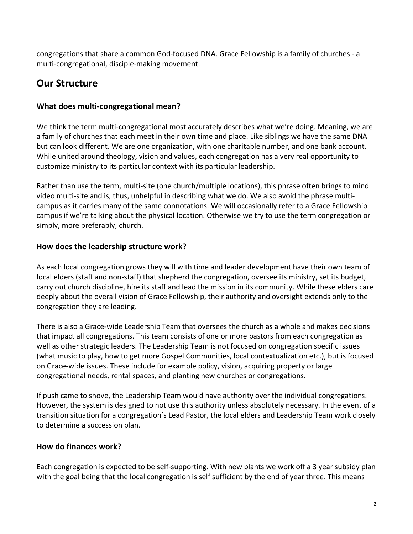congregations that share a common God-focused DNA. Grace Fellowship is a family of churches - a multi-congregational, disciple-making movement.

# **Our Structure**

#### **What does multi-congregational mean?**

We think the term multi-congregational most accurately describes what we're doing. Meaning, we are a family of churches that each meet in their own time and place. Like siblings we have the same DNA but can look different. We are one organization, with one charitable number, and one bank account. While united around theology, vision and values, each congregation has a very real opportunity to customize ministry to its particular context with its particular leadership.

Rather than use the term, multi-site (one church/multiple locations), this phrase often brings to mind video multi-site and is, thus, unhelpful in describing what we do. We also avoid the phrase multicampus as it carries many of the same connotations. We will occasionally refer to a Grace Fellowship campus if we're talking about the physical location. Otherwise we try to use the term congregation or simply, more preferably, church.

## **How does the leadership structure work?**

As each local congregation grows they will with time and leader development have their own team of local elders (staff and non-staff) that shepherd the congregation, oversee its ministry, set its budget, carry out church discipline, hire its staff and lead the mission in its community. While these elders care deeply about the overall vision of Grace Fellowship, their authority and oversight extends only to the congregation they are leading.

There is also a Grace-wide Leadership Team that oversees the church as a whole and makes decisions that impact all congregations. This team consists of one or more pastors from each congregation as well as other strategic leaders. The Leadership Team is not focused on congregation specific issues (what music to play, how to get more Gospel Communities, local contextualization etc.), but is focused on Grace-wide issues. These include for example policy, vision, acquiring property or large congregational needs, rental spaces, and planting new churches or congregations.

If push came to shove, the Leadership Team would have authority over the individual congregations. However, the system is designed to not use this authority unless absolutely necessary. In the event of a transition situation for a congregation's Lead Pastor, the local elders and Leadership Team work closely to determine a succession plan.

# **How do finances work?**

Each congregation is expected to be self-supporting. With new plants we work off a 3 year subsidy plan with the goal being that the local congregation is self sufficient by the end of year three. This means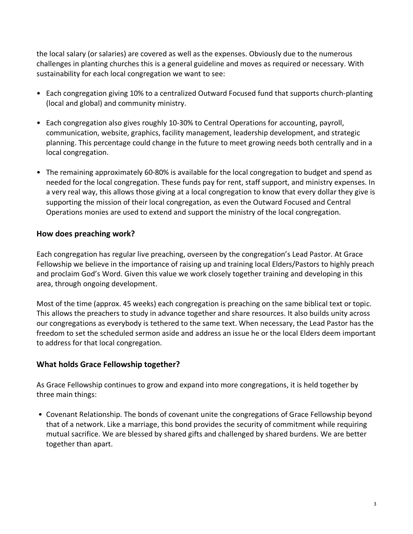the local salary (or salaries) are covered as well as the expenses. Obviously due to the numerous challenges in planting churches this is a general guideline and moves as required or necessary. With sustainability for each local congregation we want to see:

- Each congregation giving 10% to a centralized Outward Focused fund that supports church-planting (local and global) and community ministry.
- Each congregation also gives roughly 10-30% to Central Operations for accounting, payroll, communication, website, graphics, facility management, leadership development, and strategic planning. This percentage could change in the future to meet growing needs both centrally and in a local congregation.
- The remaining approximately 60-80% is available for the local congregation to budget and spend as needed for the local congregation. These funds pay for rent, staff support, and ministry expenses. In a very real way, this allows those giving at a local congregation to know that every dollar they give is supporting the mission of their local congregation, as even the Outward Focused and Central Operations monies are used to extend and support the ministry of the local congregation.

#### **How does preaching work?**

Each congregation has regular live preaching, overseen by the congregation's Lead Pastor. At Grace Fellowship we believe in the importance of raising up and training local Elders/Pastors to highly preach and proclaim God's Word. Given this value we work closely together training and developing in this area, through ongoing development.

Most of the time (approx. 45 weeks) each congregation is preaching on the same biblical text or topic. This allows the preachers to study in advance together and share resources. It also builds unity across our congregations as everybody is tethered to the same text. When necessary, the Lead Pastor has the freedom to set the scheduled sermon aside and address an issue he or the local Elders deem important to address for that local congregation.

# **What holds Grace Fellowship together?**

As Grace Fellowship continues to grow and expand into more congregations, it is held together by three main things:

• Covenant Relationship. The bonds of covenant unite the congregations of Grace Fellowship beyond that of a network. Like a marriage, this bond provides the security of commitment while requiring mutual sacrifice. We are blessed by shared gifts and challenged by shared burdens. We are better together than apart.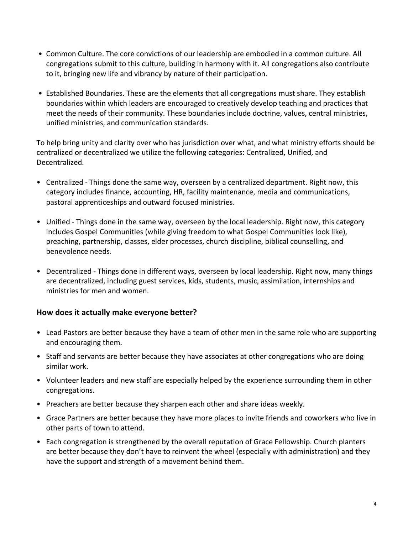- Common Culture. The core convictions of our leadership are embodied in a common culture. All congregations submit to this culture, building in harmony with it. All congregations also contribute to it, bringing new life and vibrancy by nature of their participation.
- Established Boundaries. These are the elements that all congregations must share. They establish boundaries within which leaders are encouraged to creatively develop teaching and practices that meet the needs of their community. These boundaries include doctrine, values, central ministries, unified ministries, and communication standards.

To help bring unity and clarity over who has jurisdiction over what, and what ministry efforts should be centralized or decentralized we utilize the following categories: Centralized, Unified, and Decentralized.

- Centralized Things done the same way, overseen by a centralized department. Right now, this category includes finance, accounting, HR, facility maintenance, media and communications, pastoral apprenticeships and outward focused ministries.
- Unified Things done in the same way, overseen by the local leadership. Right now, this category includes Gospel Communities (while giving freedom to what Gospel Communities look like), preaching, partnership, classes, elder processes, church discipline, biblical counselling, and benevolence needs.
- Decentralized Things done in different ways, overseen by local leadership. Right now, many things are decentralized, including guest services, kids, students, music, assimilation, internships and ministries for men and women.

#### **How does it actually make everyone better?**

- Lead Pastors are better because they have a team of other men in the same role who are supporting and encouraging them.
- Staff and servants are better because they have associates at other congregations who are doing similar work.
- Volunteer leaders and new staff are especially helped by the experience surrounding them in other congregations.
- Preachers are better because they sharpen each other and share ideas weekly.
- Grace Partners are better because they have more places to invite friends and coworkers who live in other parts of town to attend.
- Each congregation is strengthened by the overall reputation of Grace Fellowship. Church planters are better because they don't have to reinvent the wheel (especially with administration) and they have the support and strength of a movement behind them.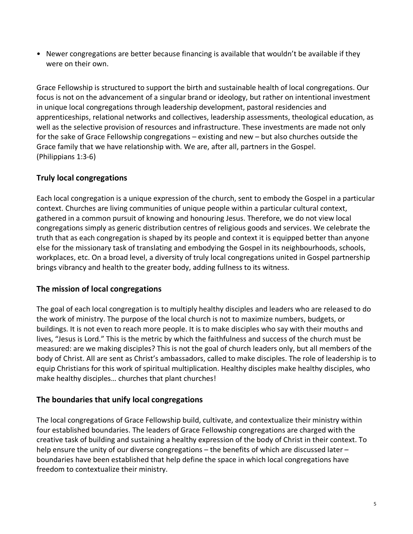• Newer congregations are better because financing is available that wouldn't be available if they were on their own.

Grace Fellowship is structured to support the birth and sustainable health of local congregations. Our focus is not on the advancement of a singular brand or ideology, but rather on intentional investment in unique local congregations through leadership development, pastoral residencies and apprenticeships, relational networks and collectives, leadership assessments, theological education, as well as the selective provision of resources and infrastructure. These investments are made not only for the sake of Grace Fellowship congregations – existing and new – but also churches outside the Grace family that we have relationship with. We are, after all, partners in the Gospel. (Philippians 1:3-6)

## **Truly local congregations**

Each local congregation is a unique expression of the church, sent to embody the Gospel in a particular context. Churches are living communities of unique people within a particular cultural context, gathered in a common pursuit of knowing and honouring Jesus. Therefore, we do not view local congregations simply as generic distribution centres of religious goods and services. We celebrate the truth that as each congregation is shaped by its people and context it is equipped better than anyone else for the missionary task of translating and embodying the Gospel in its neighbourhoods, schools, workplaces, etc. On a broad level, a diversity of truly local congregations united in Gospel partnership brings vibrancy and health to the greater body, adding fullness to its witness.

#### **The mission of local congregations**

The goal of each local congregation is to multiply healthy disciples and leaders who are released to do the work of ministry. The purpose of the local church is not to maximize numbers, budgets, or buildings. It is not even to reach more people. It is to make disciples who say with their mouths and lives, "Jesus is Lord." This is the metric by which the faithfulness and success of the church must be measured: are we making disciples? This is not the goal of church leaders only, but all members of the body of Christ. All are sent as Christ's ambassadors, called to make disciples. The role of leadership is to equip Christians for this work of spiritual multiplication. Healthy disciples make healthy disciples, who make healthy disciples… churches that plant churches!

#### **The boundaries that unify local congregations**

The local congregations of Grace Fellowship build, cultivate, and contextualize their ministry within four established boundaries. The leaders of Grace Fellowship congregations are charged with the creative task of building and sustaining a healthy expression of the body of Christ in their context. To help ensure the unity of our diverse congregations – the benefits of which are discussed later – boundaries have been established that help define the space in which local congregations have freedom to contextualize their ministry.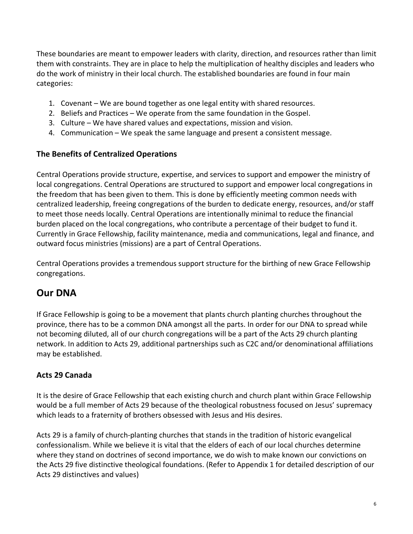These boundaries are meant to empower leaders with clarity, direction, and resources rather than limit them with constraints. They are in place to help the multiplication of healthy disciples and leaders who do the work of ministry in their local church. The established boundaries are found in four main categories:

- 1. Covenant We are bound together as one legal entity with shared resources.
- 2. Beliefs and Practices We operate from the same foundation in the Gospel.
- 3. Culture We have shared values and expectations, mission and vision.
- 4. Communication We speak the same language and present a consistent message.

## **The Benefits of Centralized Operations**

Central Operations provide structure, expertise, and services to support and empower the ministry of local congregations. Central Operations are structured to support and empower local congregations in the freedom that has been given to them. This is done by efficiently meeting common needs with centralized leadership, freeing congregations of the burden to dedicate energy, resources, and/or staff to meet those needs locally. Central Operations are intentionally minimal to reduce the financial burden placed on the local congregations, who contribute a percentage of their budget to fund it. Currently in Grace Fellowship, facility maintenance, media and communications, legal and finance, and outward focus ministries (missions) are a part of Central Operations.

Central Operations provides a tremendous support structure for the birthing of new Grace Fellowship congregations.

# **Our DNA**

If Grace Fellowship is going to be a movement that plants church planting churches throughout the province, there has to be a common DNA amongst all the parts. In order for our DNA to spread while not becoming diluted, all of our church congregations will be a part of the Acts 29 church planting network. In addition to Acts 29, additional partnerships such as C2C and/or denominational affiliations may be established.

# **Acts 29 Canada**

It is the desire of Grace Fellowship that each existing church and church plant within Grace Fellowship would be a full member of Acts 29 because of the theological robustness focused on Jesus' supremacy which leads to a fraternity of brothers obsessed with Jesus and His desires.

Acts 29 is a family of church-planting churches that stands in the tradition of historic evangelical confessionalism. While we believe it is vital that the elders of each of our local churches determine where they stand on doctrines of second importance, we do wish to make known our convictions on the Acts 29 five distinctive theological foundations. (Refer to Appendix 1 for detailed description of our Acts 29 distinctives and values)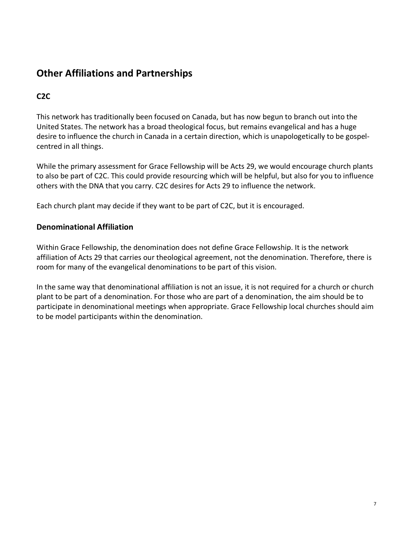# **Other Affiliations and Partnerships**

# **C2C**

This network has traditionally been focused on Canada, but has now begun to branch out into the United States. The network has a broad theological focus, but remains evangelical and has a huge desire to influence the church in Canada in a certain direction, which is unapologetically to be gospelcentred in all things.

While the primary assessment for Grace Fellowship will be Acts 29, we would encourage church plants to also be part of C2C. This could provide resourcing which will be helpful, but also for you to influence others with the DNA that you carry. C2C desires for Acts 29 to influence the network.

Each church plant may decide if they want to be part of C2C, but it is encouraged.

#### **Denominational Affiliation**

Within Grace Fellowship, the denomination does not define Grace Fellowship. It is the network affiliation of Acts 29 that carries our theological agreement, not the denomination. Therefore, there is room for many of the evangelical denominations to be part of this vision.

In the same way that denominational affiliation is not an issue, it is not required for a church or church plant to be part of a denomination. For those who are part of a denomination, the aim should be to participate in denominational meetings when appropriate. Grace Fellowship local churches should aim to be model participants within the denomination.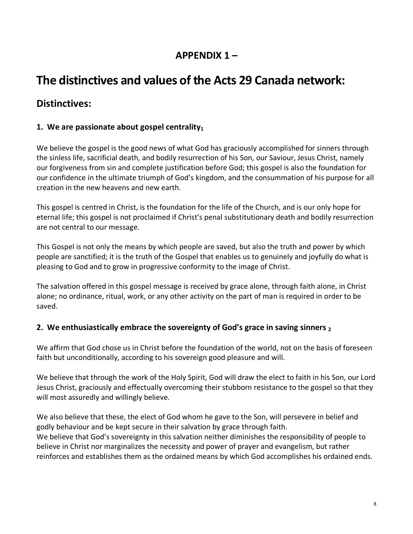# **APPENDIX 1 –**

# **The distinctives and values of the Acts 29 Canada network:**

# **Distinctives:**

## **1.** We are passionate about gospel centrality $_1$

We believe the gospel is the good news of what God has graciously accomplished for sinners through the sinless life, sacrificial death, and bodily resurrection of his Son, our Saviour, Jesus Christ, namely our forgiveness from sin and complete justification before God; this gospel is also the foundation for our confidence in the ultimate triumph of God's kingdom, and the consummation of his purpose for all creation in the new heavens and new earth.

This gospel is centred in Christ, is the foundation for the life of the Church, and is our only hope for eternal life; this gospel is not proclaimed if Christ's penal substitutionary death and bodily resurrection are not central to our message.

This Gospel is not only the means by which people are saved, but also the truth and power by which people are sanctified; it is the truth of the Gospel that enables us to genuinely and joyfully do what is pleasing to God and to grow in progressive conformity to the image of Christ.

The salvation offered in this gospel message is received by grace alone, through faith alone, in Christ alone; no ordinance, ritual, work, or any other activity on the part of man is required in order to be saved.

#### **2. We enthusiastically embrace the sovereignty of God's grace in saving sinners 2**

We affirm that God chose us in Christ before the foundation of the world, not on the basis of foreseen faith but unconditionally, according to his sovereign good pleasure and will.

We believe that through the work of the Holy Spirit, God will draw the elect to faith in his Son, our Lord Jesus Christ, graciously and effectually overcoming their stubborn resistance to the gospel so that they will most assuredly and willingly believe.

We also believe that these, the elect of God whom he gave to the Son, will persevere in belief and godly behaviour and be kept secure in their salvation by grace through faith. We believe that God's sovereignty in this salvation neither diminishes the responsibility of people to believe in Christ nor marginalizes the necessity and power of prayer and evangelism, but rather reinforces and establishes them as the ordained means by which God accomplishes his ordained ends.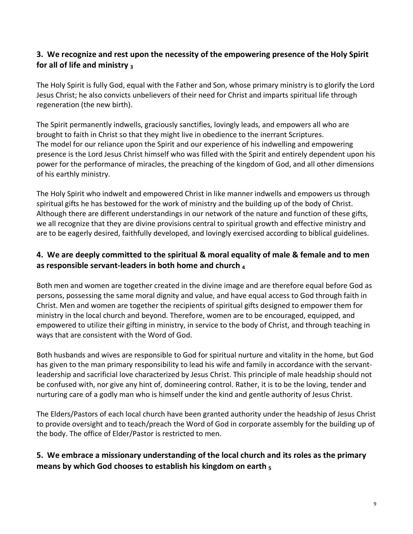## **3. We recognize and rest upon the necessity of the empowering presence of the Holy Spirit for all of life and ministry 3**

The Holy Spirit is fully God, equal with the Father and Son, whose primary ministry is to glorify the Lord Jesus Christ; he also convicts unbelievers of their need for Christ and imparts spiritual life through regeneration (the new birth).

The Spirit permanently indwells, graciously sanctifies, lovingly leads, and empowers all who are brought to faith in Christ so that they might live in obedience to the inerrant Scriptures. The model for our reliance upon the Spirit and our experience of his indwelling and empowering presence is the Lord Jesus Christ himself who was filled with the Spirit and entirely dependent upon his power for the performance of miracles, the preaching of the kingdom of God, and all other dimensions of his earthly ministry.

The Holy Spirit who indwelt and empowered Christ in like manner indwells and empowers us through spiritual gifts he has bestowed for the work of ministry and the building up of the body of Christ. Although there are different understandings in our network of the nature and function of these gifts, we all recognize that they are divine provisions central to spiritual growth and effective ministry and are to be eagerly desired, faithfully developed, and lovingly exercised according to biblical guidelines.

# **4. We are deeply committed to the spiritual & moral equality of male & female and to men as responsible servant-leaders in both home and church 4**

Both men and women are together created in the divine image and are therefore equal before God as persons, possessing the same moral dignity and value, and have equal access to God through faith in Christ. Men and women are together the recipients of spiritual gifts designed to empower them for ministry in the local church and beyond. Therefore, women are to be encouraged, equipped, and empowered to utilize their gifting in ministry, in service to the body of Christ, and through teaching in ways that are consistent with the Word of God.

Both husbands and wives are responsible to God for spiritual nurture and vitality in the home, but God has given to the man primary responsibility to lead his wife and family in accordance with the servantleadership and sacrificial love characterized by Jesus Christ. This principle of male headship should not be confused with, nor give any hint of, domineering control. Rather, it is to be the loving, tender and nurturing care of a godly man who is himself under the kind and gentle authority of Jesus Christ.

The Elders/Pastors of each local church have been granted authority under the headship of Jesus Christ to provide oversight and to teach/preach the Word of God in corporate assembly for the building up of the body. The office of Elder/Pastor is restricted to men.

## **5. We embrace a missionary understanding of the local church and its roles as the primary means by which God chooses to establish his kingdom on earth 5**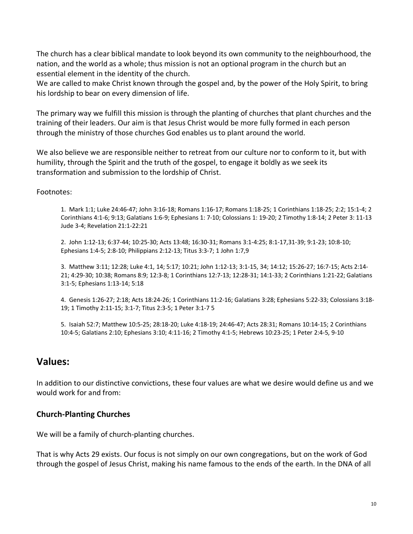The church has a clear biblical mandate to look beyond its own community to the neighbourhood, the nation, and the world as a whole; thus mission is not an optional program in the church but an essential element in the identity of the church.

We are called to make Christ known through the gospel and, by the power of the Holy Spirit, to bring his lordship to bear on every dimension of life.

The primary way we fulfill this mission is through the planting of churches that plant churches and the training of their leaders. Our aim is that Jesus Christ would be more fully formed in each person through the ministry of those churches God enables us to plant around the world.

We also believe we are responsible neither to retreat from our culture nor to conform to it, but with humility, through the Spirit and the truth of the gospel, to engage it boldly as we seek its transformation and submission to the lordship of Christ.

Footnotes:

1. Mark 1:1; Luke 24:46-47; John 3:16-18; Romans 1:16-17; Romans 1:18-25; 1 Corinthians 1:18-25; 2:2; 15:1-4; 2 Corinthians 4:1-6; 9:13; Galatians 1:6-9; Ephesians 1: 7-10; Colossians 1: 19-20; 2 Timothy 1:8-14; 2 Peter 3: 11-13 Jude 3-4; Revelation 21:1-22:21

2. John 1:12-13; 6:37-44; 10:25-30; Acts 13:48; 16:30-31; Romans 3:1-4:25; 8:1-17,31-39; 9:1-23; 10:8-10; Ephesians 1:4-5; 2:8-10; Philippians 2:12-13; Titus 3:3-7; 1 John 1:7,9

3. Matthew 3:11; 12:28; Luke 4:1, 14; 5:17; 10:21; John 1:12-13; 3:1-15, 34; 14:12; 15:26-27; 16:7-15; Acts 2:14- 21; 4:29-30; 10:38; Romans 8:9; 12:3-8; 1 Corinthians 12:7-13; 12:28-31; 14:1-33; 2 Corinthians 1:21-22; Galatians 3:1-5; Ephesians 1:13-14; 5:18

4. Genesis 1:26-27; 2:18; Acts 18:24-26; 1 Corinthians 11:2-16; Galatians 3:28; Ephesians 5:22-33; Colossians 3:18- 19; 1 Timothy 2:11-15; 3:1-7; Titus 2:3-5; 1 Peter 3:1-7 5

5. Isaiah 52:7; Matthew 10:5-25; 28:18-20; Luke 4:18-19; 24:46-47; Acts 28:31; Romans 10:14-15; 2 Corinthians 10:4-5; Galatians 2:10; Ephesians 3:10; 4:11-16; 2 Timothy 4:1-5; Hebrews 10:23-25; 1 Peter 2:4-5, 9-10

# **Values:**

In addition to our distinctive convictions, these four values are what we desire would define us and we would work for and from:

#### **Church-Planting Churches**

We will be a family of church-planting churches.

That is why Acts 29 exists. Our focus is not simply on our own congregations, but on the work of God through the gospel of Jesus Christ, making his name famous to the ends of the earth. In the DNA of all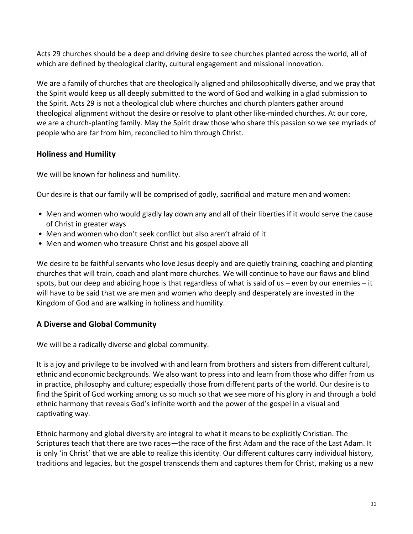Acts 29 churches should be a deep and driving desire to see churches planted across the world, all of which are defined by theological clarity, cultural engagement and missional innovation.

We are a family of churches that are theologically aligned and philosophically diverse, and we pray that the Spirit would keep us all deeply submitted to the word of God and walking in a glad submission to the Spirit. Acts 29 is not a theological club where churches and church planters gather around theological alignment without the desire or resolve to plant other like-minded churches. At our core, we are a church-planting family. May the Spirit draw those who share this passion so we see myriads of people who are far from him, reconciled to him through Christ.

## **Holiness and Humility**

We will be known for holiness and humility.

Our desire is that our family will be comprised of godly, sacrificial and mature men and women:

- Men and women who would gladly lay down any and all of their liberties if it would serve the cause of Christ in greater ways
- Men and women who don't seek conflict but also aren't afraid of it
- Men and women who treasure Christ and his gospel above all

We desire to be faithful servants who love Jesus deeply and are quietly training, coaching and planting churches that will train, coach and plant more churches. We will continue to have our flaws and blind spots, but our deep and abiding hope is that regardless of what is said of us – even by our enemies – it will have to be said that we are men and women who deeply and desperately are invested in the Kingdom of God and are walking in holiness and humility.

# **A Diverse and Global Community**

We will be a radically diverse and global community.

It is a joy and privilege to be involved with and learn from brothers and sisters from different cultural, ethnic and economic backgrounds. We also want to press into and learn from those who differ from us in practice, philosophy and culture; especially those from different parts of the world. Our desire is to find the Spirit of God working among us so much so that we see more of his glory in and through a bold ethnic harmony that reveals God's infinite worth and the power of the gospel in a visual and captivating way.

Ethnic harmony and global diversity are integral to what it means to be explicitly Christian. The Scriptures teach that there are two races—the race of the first Adam and the race of the Last Adam. It is only 'in Christ' that we are able to realize this identity. Our different cultures carry individual history, traditions and legacies, but the gospel transcends them and captures them for Christ, making us a new